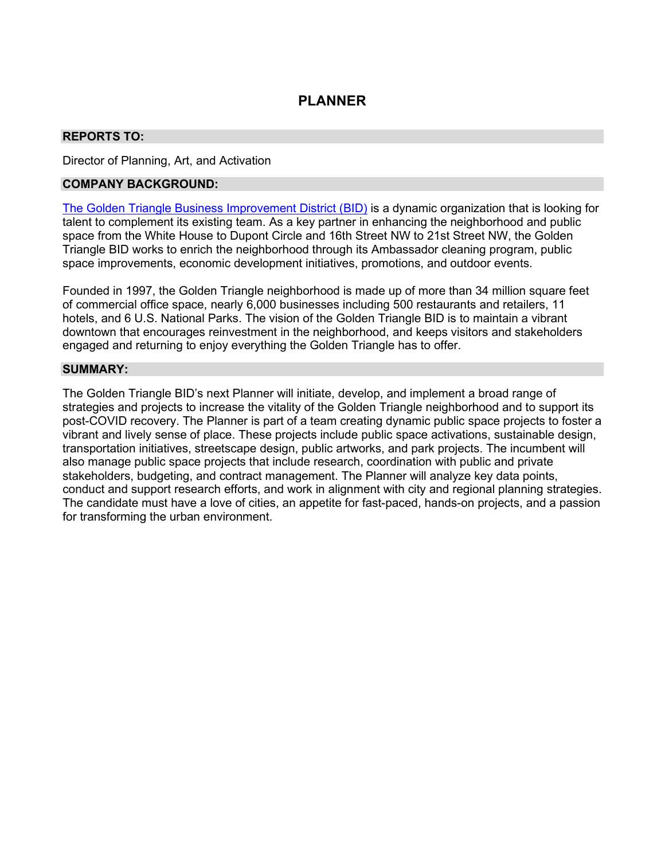# **PLANNER**

## **REPORTS TO:**

Director of Planning, Art, and Activation

### **COMPANY BACKGROUND:**

[The Golden Triangle Business Improvement District \(BID\)](https://goldentriangledc.com/) is a dynamic organization that is looking for talent to complement its existing team. As a key partner in enhancing the neighborhood and public space from the White House to Dupont Circle and 16th Street NW to 21st Street NW, the Golden Triangle BID works to enrich the neighborhood through its Ambassador cleaning program, public space improvements, economic development initiatives, promotions, and outdoor events.

Founded in 1997, the Golden Triangle neighborhood is made up of more than 34 million square feet of commercial office space, nearly 6,000 businesses including 500 restaurants and retailers, 11 hotels, and 6 U.S. National Parks. The vision of the Golden Triangle BID is to maintain a vibrant downtown that encourages reinvestment in the neighborhood, and keeps visitors and stakeholders engaged and returning to enjoy everything the Golden Triangle has to offer.

#### **SUMMARY:**

The Golden Triangle BID's next Planner will initiate, develop, and implement a broad range of strategies and projects to increase the vitality of the Golden Triangle neighborhood and to support its post-COVID recovery. The Planner is part of a team creating dynamic public space projects to foster a vibrant and lively sense of place. These projects include public space activations, sustainable design, transportation initiatives, streetscape design, public artworks, and park projects. The incumbent will also manage public space projects that include research, coordination with public and private stakeholders, budgeting, and contract management. The Planner will analyze key data points, conduct and support research efforts, and work in alignment with city and regional planning strategies. The candidate must have a love of cities, an appetite for fast-paced, hands-on projects, and a passion for transforming the urban environment.